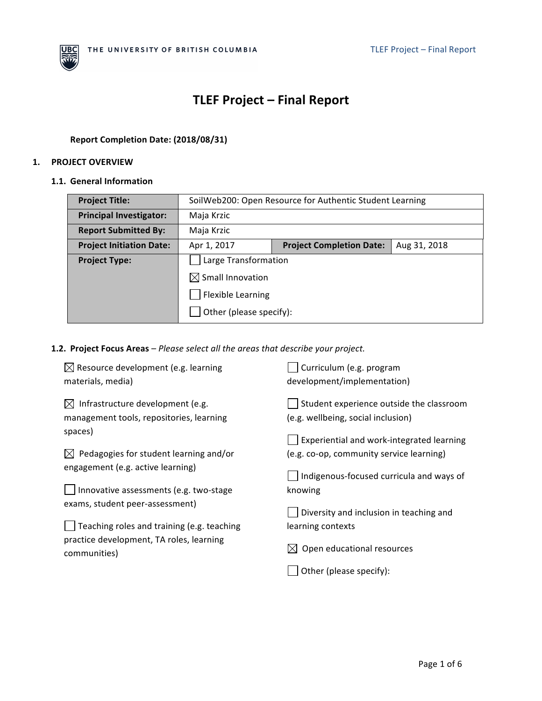

# **TLEF Project – Final Report**

# **Report Completion Date: (2018/08/31)**

### **1. PROJECT OVERVIEW**

### **1.1. General Information**

| <b>Project Title:</b>           | SoilWeb200: Open Resource for Authentic Student Learning |                                 |              |
|---------------------------------|----------------------------------------------------------|---------------------------------|--------------|
| <b>Principal Investigator:</b>  | Maja Krzic                                               |                                 |              |
| <b>Report Submitted By:</b>     | Maja Krzic                                               |                                 |              |
| <b>Project Initiation Date:</b> | Apr 1, 2017                                              | <b>Project Completion Date:</b> | Aug 31, 2018 |
| <b>Project Type:</b>            | Large Transformation                                     |                                 |              |
|                                 | $\boxtimes$ Small Innovation                             |                                 |              |
|                                 | <b>Flexible Learning</b>                                 |                                 |              |
|                                 | Other (please specify):                                  |                                 |              |

# 1.2. Project Focus Areas - Please select all the areas that describe your project.

| $\boxtimes$ Resource development (e.g. learning<br>materials, media)                      | Curriculum (e.g. program<br>development/implementation)                        |
|-------------------------------------------------------------------------------------------|--------------------------------------------------------------------------------|
| Infrastructure development (e.g.<br>$\bowtie$<br>management tools, repositories, learning | Student experience outside the classroom<br>(e.g. wellbeing, social inclusion) |
| spaces)                                                                                   | Experiential and work-integrated learning                                      |
| $\boxtimes$ Pedagogies for student learning and/or                                        | (e.g. co-op, community service learning)                                       |
| engagement (e.g. active learning)                                                         | Indigenous-focused curricula and ways of                                       |
| Innovative assessments (e.g. two-stage                                                    | knowing                                                                        |
| exams, student peer-assessment)                                                           | Diversity and inclusion in teaching and                                        |
| Teaching roles and training (e.g. teaching                                                | learning contexts                                                              |
| practice development, TA roles, learning<br>communities)                                  | Open educational resources<br>IXI                                              |
|                                                                                           | Other (please specify):                                                        |
|                                                                                           |                                                                                |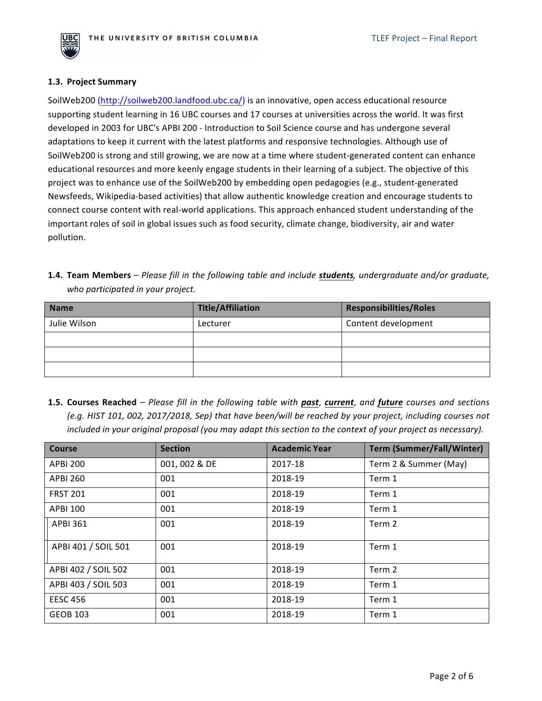

### **1.3. Project Summary**

SoilWeb200 (http://soilweb200.landfood.ubc.ca/) is an innovative, open access educational resource supporting student learning in 16 UBC courses and 17 courses at universities across the world. It was first developed in 2003 for UBC's APBI 200 - Introduction to Soil Science course and has undergone several adaptations to keep it current with the latest platforms and responsive technologies. Although use of SoilWeb200 is strong and still growing, we are now at a time where student-generated content can enhance educational resources and more keenly engage students in their learning of a subject. The objective of this project was to enhance use of the SoilWeb200 by embedding open pedagogies (e.g., student-generated Newsfeeds, Wikipedia-based activities) that allow authentic knowledge creation and encourage students to connect course content with real-world applications. This approach enhanced student understanding of the important roles of soil in global issues such as food security, climate change, biodiversity, air and water pollution. 

**1.4. Team Members** – Please fill in the following table and include **students**, undergraduate and/or graduate, *who participated in your project.*

| <b>Name</b>  | <b>Title/Affiliation</b> | <b>Responsibilities/Roles</b> |
|--------------|--------------------------|-------------------------------|
| Julie Wilson | Lecturer                 | Content development           |
|              |                          |                               |
|              |                          |                               |
|              |                          |                               |

**1.5. Courses Reached** – *Please fill in the following table with past, current, and <i>future courses and sections (e.g. HIST 101, 002, 2017/2018, Sep) that have been/will be reached by your project, including courses not included in your original proposal (you may adapt this section to the context of your project as necessary).* 

| <b>Course</b>       | <b>Section</b> | <b>Academic Year</b> | <b>Term (Summer/Fall/Winter)</b> |
|---------------------|----------------|----------------------|----------------------------------|
| <b>APBI 200</b>     | 001, 002 & DE  | 2017-18              | Term 2 & Summer (May)            |
| <b>APBI 260</b>     | 001            | 2018-19              | Term 1                           |
| <b>FRST 201</b>     | 001            | 2018-19              | Term 1                           |
| <b>APBI 100</b>     | 001            | 2018-19              | Term 1                           |
| <b>APBI 361</b>     | 001            | 2018-19              | Term 2                           |
| APBI 401 / SOIL 501 | 001            | 2018-19              | Term 1                           |
| APBI 402 / SOIL 502 | 001            | 2018-19              | Term 2                           |
| APBI 403 / SOIL 503 | 001            | 2018-19              | Term 1                           |
| <b>EESC 456</b>     | 001            | 2018-19              | Term 1                           |
| <b>GEOB 103</b>     | 001            | 2018-19              | Term 1                           |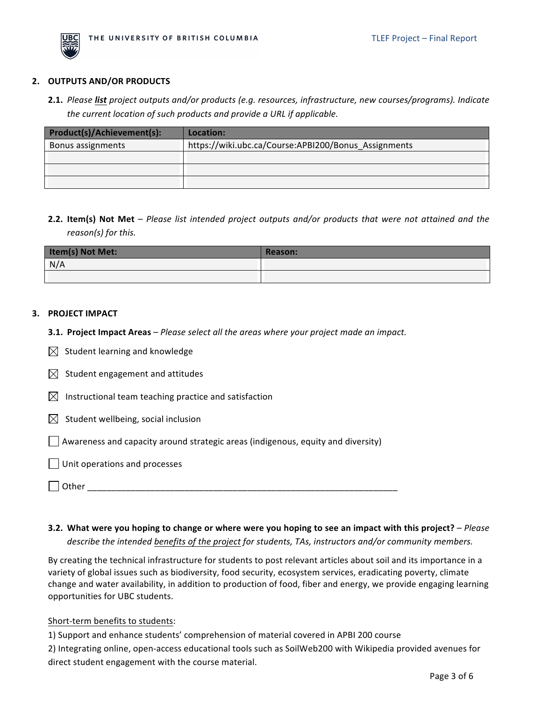

#### **2. OUTPUTS AND/OR PRODUCTS**

**2.1.** Please list project outputs and/or products (e.g. resources, infrastructure, new courses/programs). Indicate *the current location of such products and provide a URL if applicable.* 

| Product(s)/Achievement(s): | Location:                                            |
|----------------------------|------------------------------------------------------|
| Bonus assignments          | https://wiki.ubc.ca/Course:APBI200/Bonus Assignments |
|                            |                                                      |
|                            |                                                      |
|                            |                                                      |

**2.2. Item(s) Not Met** – Please list intended project outputs and/or products that were not attained and the *reason(s)* for this.

| Item(s) Not Met: | Reason: |
|------------------|---------|
| N/A              |         |
|                  |         |

#### **3. PROJECT IMPACT**

- **3.1. Project Impact Areas** *Please select all the areas where your project made an impact.*
- $\boxtimes$  Student learning and knowledge
- $\boxtimes$  Student engagement and attitudes
- $\boxtimes$  Instructional team teaching practice and satisfaction
- $\boxtimes$  Student wellbeing, social inclusion
- $\Box$  Awareness and capacity around strategic areas (indigenous, equity and diversity)
- $\vert$  Unit operations and processes
- Other \_\_\_\_\_\_\_\_\_\_\_\_\_\_\_\_\_\_\_\_\_\_\_\_\_\_\_\_\_\_\_\_\_\_\_\_\_\_\_\_\_\_\_\_\_\_\_\_\_\_\_\_\_\_\_\_\_\_\_\_\_\_\_\_

### **3.2.** What were you hoping to change or where were you hoping to see an impact with this project? – *Please describe* the intended benefits of the project for students, TAs, instructors and/or community members.

By creating the technical infrastructure for students to post relevant articles about soil and its importance in a variety of global issues such as biodiversity, food security, ecosystem services, eradicating poverty, climate change and water availability, in addition to production of food, fiber and energy, we provide engaging learning opportunities for UBC students.

### Short-term benefits to students:

1) Support and enhance students' comprehension of material covered in APBI 200 course

2) Integrating online, open-access educational tools such as SoilWeb200 with Wikipedia provided avenues for direct student engagement with the course material.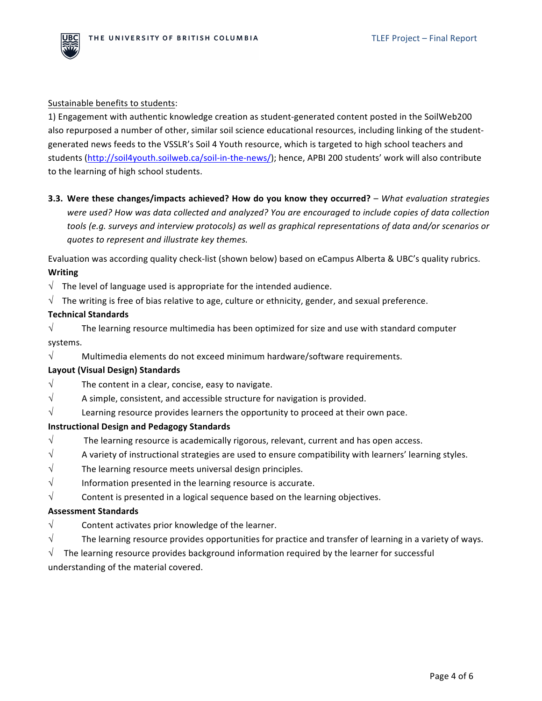

#### Sustainable benefits to students:

1) Engagement with authentic knowledge creation as student-generated content posted in the SoilWeb200 also repurposed a number of other, similar soil science educational resources, including linking of the studentgenerated news feeds to the VSSLR's Soil 4 Youth resource, which is targeted to high school teachers and students (http://soil4youth.soilweb.ca/soil-in-the-news/); hence, APBI 200 students' work will also contribute to the learning of high school students.

**3.3.** Were these changes/impacts achieved? How do you know they occurred? – *What evaluation strategies were used?* How was data collected and analyzed? You are encouraged to include copies of data collection *tools* (e.g. surveys and interview protocols) as well as graphical representations of data and/or scenarios or *quotes to represent and illustrate key themes.* 

Evaluation was according quality check-list (shown below) based on eCampus Alberta & UBC's quality rubrics. **Writing** 

- $\sqrt{\phantom{a}}$  The level of language used is appropriate for the intended audience.
- $\sqrt{\phantom{a}}$  The writing is free of bias relative to age, culture or ethnicity, gender, and sexual preference.

### **Technical Standards**

 $\sqrt{ }$  The learning resource multimedia has been optimized for size and use with standard computer systems.

 $\sqrt{ }$  Multimedia elements do not exceed minimum hardware/software requirements.

### **Layout (Visual Design) Standards**

- $\sqrt{ }$  The content in a clear, concise, easy to navigate.
- $\sqrt{ }$  A simple, consistent, and accessible structure for navigation is provided.
- $\sqrt{ }$  Learning resource provides learners the opportunity to proceed at their own pace.

### **Instructional Design and Pedagogy Standards**

- $\sqrt{ }$  The learning resource is academically rigorous, relevant, current and has open access.
- $\sqrt{ }$  A variety of instructional strategies are used to ensure compatibility with learners' learning styles.
- $\sqrt{ }$  The learning resource meets universal design principles.
- $\sqrt{ }$  Information presented in the learning resource is accurate.
- $\sqrt{ }$  Content is presented in a logical sequence based on the learning objectives.

#### **Assessment Standards**

- $\sqrt{ }$  Content activates prior knowledge of the learner.
- $\sqrt{ }$  The learning resource provides opportunities for practice and transfer of learning in a variety of ways.
- $\sqrt{-1}$  The learning resource provides background information required by the learner for successful understanding of the material covered.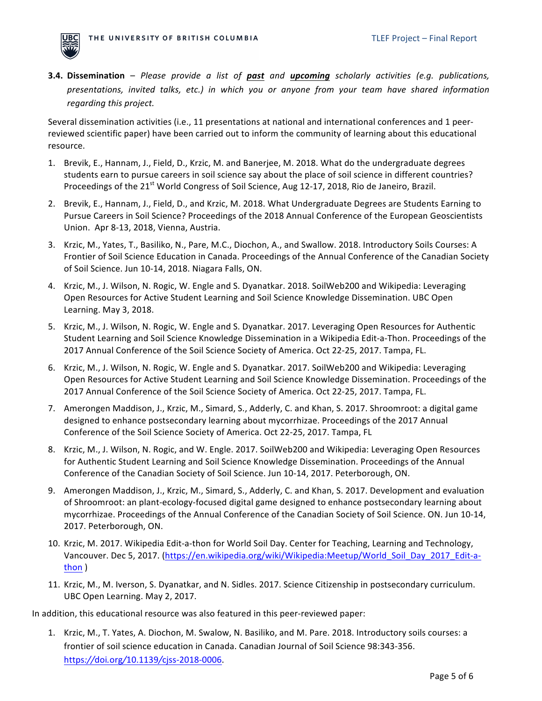

**3.4. Dissemination** – *Please provide a list of past and upcoming scholarly activities (e.g. publications, presentations, invited talks, etc.) in which you or anyone from your team have shared information regarding this project.* 

Several dissemination activities (i.e., 11 presentations at national and international conferences and 1 peerreviewed scientific paper) have been carried out to inform the community of learning about this educational resource.

- 1. Brevik, E., Hannam, J., Field, D., Krzic, M. and Banerjee, M. 2018. What do the undergraduate degrees students earn to pursue careers in soil science say about the place of soil science in different countries? Proceedings of the 21<sup>st</sup> World Congress of Soil Science, Aug 12-17, 2018, Rio de Janeiro, Brazil.
- 2. Brevik, E., Hannam, J., Field, D., and Krzic, M. 2018. What Undergraduate Degrees are Students Earning to Pursue Careers in Soil Science? Proceedings of the 2018 Annual Conference of the European Geoscientists Union. Apr 8-13, 2018, Vienna, Austria.
- 3. Krzic, M., Yates, T., Basiliko, N., Pare, M.C., Diochon, A., and Swallow. 2018. Introductory Soils Courses: A Frontier of Soil Science Education in Canada. Proceedings of the Annual Conference of the Canadian Society of Soil Science. Jun 10-14, 2018. Niagara Falls, ON.
- 4. Krzic, M., J. Wilson, N. Rogic, W. Engle and S. Dyanatkar. 2018. SoilWeb200 and Wikipedia: Leveraging Open Resources for Active Student Learning and Soil Science Knowledge Dissemination. UBC Open Learning. May 3, 2018.
- 5. Krzic, M., J. Wilson, N. Rogic, W. Engle and S. Dyanatkar. 2017. Leveraging Open Resources for Authentic Student Learning and Soil Science Knowledge Dissemination in a Wikipedia Edit-a-Thon. Proceedings of the 2017 Annual Conference of the Soil Science Society of America. Oct 22-25, 2017. Tampa, FL.
- 6. Krzic, M., J. Wilson, N. Rogic, W. Engle and S. Dyanatkar. 2017. SoilWeb200 and Wikipedia: Leveraging Open Resources for Active Student Learning and Soil Science Knowledge Dissemination. Proceedings of the 2017 Annual Conference of the Soil Science Society of America. Oct 22-25, 2017. Tampa, FL.
- 7. Amerongen Maddison, J., Krzic, M., Simard, S., Adderly, C. and Khan, S. 2017. Shroomroot: a digital game designed to enhance postsecondary learning about mycorrhizae. Proceedings of the 2017 Annual Conference of the Soil Science Society of America. Oct 22-25, 2017. Tampa, FL
- 8. Krzic, M., J. Wilson, N. Rogic, and W. Engle. 2017. SoilWeb200 and Wikipedia: Leveraging Open Resources for Authentic Student Learning and Soil Science Knowledge Dissemination. Proceedings of the Annual Conference of the Canadian Society of Soil Science. Jun 10-14, 2017. Peterborough, ON.
- 9. Amerongen Maddison, J., Krzic, M., Simard, S., Adderly, C. and Khan, S. 2017. Development and evaluation of Shroomroot: an plant-ecology-focused digital game designed to enhance postsecondary learning about mycorrhizae. Proceedings of the Annual Conference of the Canadian Society of Soil Science. ON. Jun 10-14, 2017. Peterborough, ON.
- 10. Krzic, M. 2017. Wikipedia Edit-a-thon for World Soil Day. Center for Teaching, Learning and Technology, Vancouver. Dec 5, 2017. (https://en.wikipedia.org/wiki/Wikipedia:Meetup/World Soil Day 2017 Edit-athon )
- 11. Krzic, M., M. Iverson, S. Dyanatkar, and N. Sidles. 2017. Science Citizenship in postsecondary curriculum. UBC Open Learning. May 2, 2017.

In addition, this educational resource was also featured in this peer-reviewed paper:

1. Krzic, M., T. Yates, A. Diochon, M. Swalow, N. Basiliko, and M. Pare. 2018. Introductory soils courses: a frontier of soil science education in Canada. Canadian Journal of Soil Science 98:343-356. https*://*doi*.*org*/*10.1139*/*cjss*-*2018-0006.